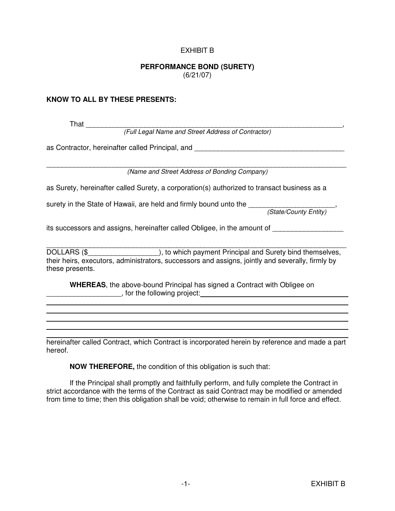## EXHIBIT B

## **PERFORMANCE BOND (SURETY)**

(6/21/07)

## **KNOW TO ALL BY THESE PRESENTS:**

l

 That \_\_\_\_\_\_\_\_\_\_\_\_\_\_\_\_\_\_\_\_\_\_\_\_\_\_\_\_\_\_\_\_\_\_\_\_\_\_\_\_\_\_\_\_\_\_\_\_\_\_\_\_\_\_\_\_\_\_\_\_\_\_\_\_\_, (Full Legal Name and Street Address of Contractor) as Contractor, hereinafter called Principal, and \_\_\_\_\_\_\_\_\_\_\_\_\_\_\_\_\_\_\_\_\_\_\_\_\_\_\_\_\_\_\_ \_\_\_\_\_\_\_\_\_\_\_\_\_\_\_\_\_\_\_\_\_\_\_\_\_\_\_\_\_\_\_\_\_\_\_\_\_\_\_\_\_\_\_\_\_\_\_\_\_\_\_\_\_\_\_\_\_\_\_\_\_\_\_\_\_\_\_\_\_\_\_\_\_\_\_\_ (Name and Street Address of Bonding Company) as Surety, hereinafter called Surety, a corporation(s) authorized to transact business as a surety in the State of Hawaii, are held and firmly bound unto the \_\_\_\_\_\_\_\_\_\_\_\_\_\_\_\_\_\_\_\_\_, (State/County Entity) its successors and assigns, hereinafter called Obligee, in the amount of \_\_\_\_\_\_\_\_\_\_\_\_\_\_\_\_\_\_\_\_\_\_\_\_\_\_\_\_\_\_\_\_\_\_\_\_\_\_\_\_\_\_\_\_\_\_\_\_\_\_\_\_\_\_\_\_\_\_\_\_\_\_\_\_\_\_\_\_\_\_\_\_\_\_\_\_ DOLLARS (\$\_\_\_\_\_\_\_\_\_\_\_\_\_\_\_\_\_\_\_\_\_\_), to which payment Principal and Surety bind themselves, their heirs, executors, administrators, successors and assigns, jointly and severally, firmly by these presents.  **WHEREAS**, the above-bound Principal has signed a Contract with Obligee on extending project: the following project:

hereinafter called Contract, which Contract is incorporated herein by reference and made a part hereof.

 **NOW THEREFORE,** the condition of this obligation is such that:

 If the Principal shall promptly and faithfully perform, and fully complete the Contract in strict accordance with the terms of the Contract as said Contract may be modified or amended from time to time; then this obligation shall be void; otherwise to remain in full force and effect.